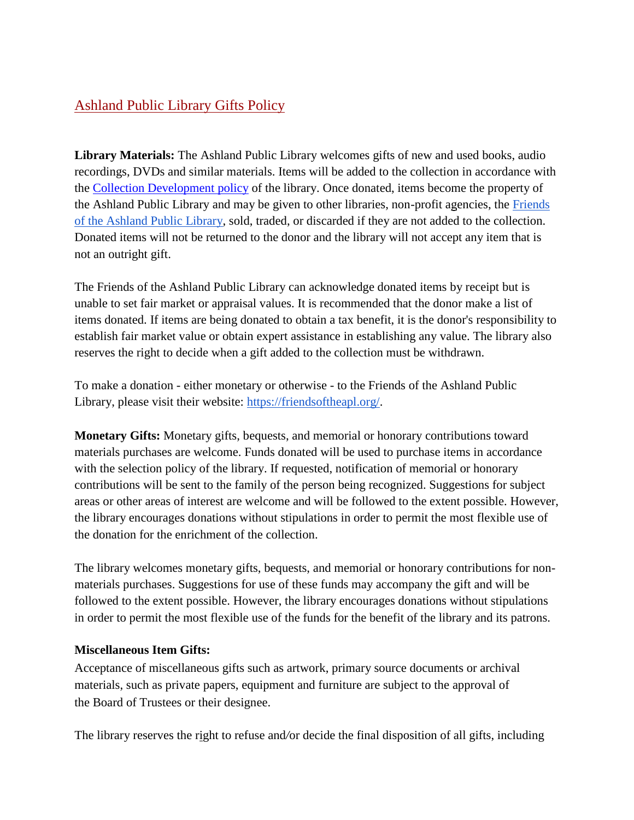## Ashland Public Library Gifts Policy

**Library Materials:** The Ashland Public Library welcomes gifts of new and used books, audio recordings, DVDs and similar materials. Items will be added to the collection in accordance with the [Collection Development](https://docs.google.com/document/d/1aIUxP0oF92B53ejxOCGm5a4094KidcrpN5kKop04xcM/edit?usp=sharing) policy of the library. Once donated, items become the property of the Ashland Public Library and may be given to other libraries, non-profit agencies, the Friends [of the Ashland Public Library,](https://friendsoftheapl.org/) sold, traded, or discarded if they are not added to the collection. Donated items will not be returned to the donor and the library will not accept any item that is not an outright gift.

The Friends of the Ashland Public Library can acknowledge donated items by receipt but is unable to set fair market or appraisal values. It is recommended that the donor make a list of items donated. If items are being donated to obtain a tax benefit, it is the donor's responsibility to establish fair market value or obtain expert assistance in establishing any value. The library also reserves the right to decide when a gift added to the collection must be withdrawn.

To make a donation - either monetary or otherwise - to the Friends of the Ashland Public Library, please visit their website: [https://friendsoftheapl.org/.](https://friendsoftheapl.org/)

**Monetary Gifts:** Monetary gifts, bequests, and memorial or honorary contributions toward materials purchases are welcome. Funds donated will be used to purchase items in accordance with the selection policy of the library. If requested, notification of memorial or honorary contributions will be sent to the family of the person being recognized. Suggestions for subject areas or other areas of interest are welcome and will be followed to the extent possible. However, the library encourages donations without stipulations in order to permit the most flexible use of the donation for the enrichment of the collection.

The library welcomes monetary gifts, bequests, and memorial or honorary contributions for nonmaterials purchases. Suggestions for use of these funds may accompany the gift and will be followed to the extent possible. However, the library encourages donations without stipulations in order to permit the most flexible use of the funds for the benefit of the library and its patrons.

## **Miscellaneous Item Gifts:**

Acceptance of miscellaneous gifts such as artwork, primary source documents or archival materials, such as private papers, equipment and furniture are subject to the approval of the Board of Trustees or their designee.

The library reserves the right to refuse and*/*or decide the final disposition of all gifts, including